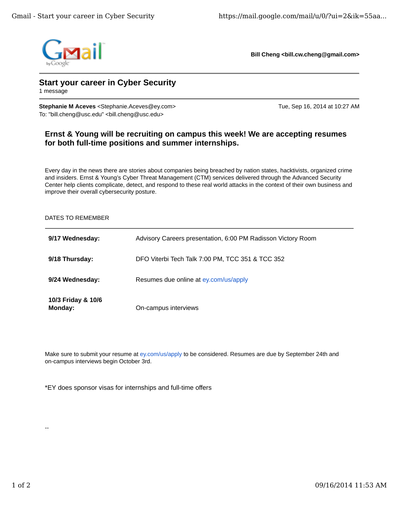

**Bill Cheng <bill.cw.cheng@gmail.com>**

## **Start your career in Cyber Security**

1 message

**Stephanie M Aceves** <Stephanie.Aceves@ey.com> Tue, Sep 16, 2014 at 10:27 AM To: "bill.cheng@usc.edu" <blil.cheng@usc.edu>

## **Ernst & Young will be recruiting on campus this week! We are accepting resumes for both full-time positions and summer internships.**

Every day in the news there are stories about companies being breached by nation states, hacktivists, organized crime and insiders. Ernst & Young's Cyber Threat Management (CTM) services delivered through the Advanced Security Center help clients complicate, detect, and respond to these real world attacks in the context of their own business and improve their overall cybersecurity posture.

## DATES TO REMEMBER

| 9/17 Wednesday:               | Advisory Careers presentation, 6:00 PM Radisson Victory Room |
|-------------------------------|--------------------------------------------------------------|
| 9/18 Thursday:                | DFO Viterbi Tech Talk 7:00 PM, TCC 351 & TCC 352             |
| 9/24 Wednesday:               | Resumes due online at ey.com/us/apply                        |
| 10/3 Friday & 10/6<br>Monday: | On-campus interviews                                         |

Make sure to submit your resume at ey.com/us/apply to be considered. Resumes are due by September 24th and on-campus interviews begin October 3rd.

\*EY does sponsor visas for internships and full-time offers

--